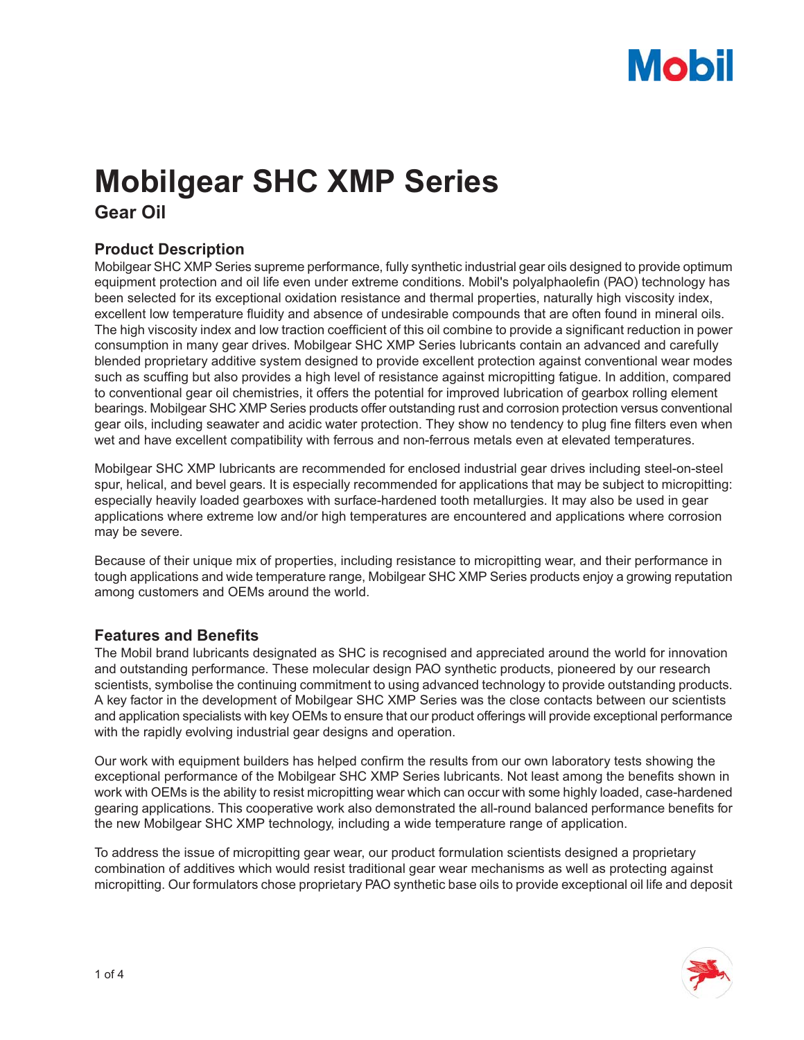# **Mobil**

# **Mobilgear SHC XMP Series**

**Gear Oil**

## **Product Description**

Mobilgear SHC XMP Series supreme performance, fully synthetic industrial gear oils designed to provide optimum equipment protection and oil life even under extreme conditions. Mobil's polyalphaolefin (PAO) technology has been selected for its exceptional oxidation resistance and thermal properties, naturally high viscosity index, excellent low temperature fluidity and absence of undesirable compounds that are often found in mineral oils. The high viscosity index and low traction coefficient of this oil combine to provide a significant reduction in power consumption in many gear drives. Mobilgear SHC XMP Series lubricants contain an advanced and carefully blended proprietary additive system designed to provide excellent protection against conventional wear modes such as scuffing but also provides a high level of resistance against micropitting fatigue. In addition, compared to conventional gear oil chemistries, it offers the potential for improved lubrication of gearbox rolling element bearings. Mobilgear SHC XMP Series products offer outstanding rust and corrosion protection versus conventional gear oils, including seawater and acidic water protection. They show no tendency to plug fine filters even when wet and have excellent compatibility with ferrous and non-ferrous metals even at elevated temperatures.

Mobilgear SHC XMP lubricants are recommended for enclosed industrial gear drives including steel-on-steel spur, helical, and bevel gears. It is especially recommended for applications that may be subject to micropitting: especially heavily loaded gearboxes with surface-hardened tooth metallurgies. It may also be used in gear applications where extreme low and/or high temperatures are encountered and applications where corrosion may be severe.

Because of their unique mix of properties, including resistance to micropitting wear, and their performance in tough applications and wide temperature range, Mobilgear SHC XMP Series products enjoy a growing reputation among customers and OEMs around the world.

#### **Features and Benefits**

The Mobil brand lubricants designated as SHC is recognised and appreciated around the world for innovation and outstanding performance. These molecular design PAO synthetic products, pioneered by our research scientists, symbolise the continuing commitment to using advanced technology to provide outstanding products. A key factor in the development of Mobilgear SHC XMP Series was the close contacts between our scientists and application specialists with key OEMs to ensure that our product offerings will provide exceptional performance with the rapidly evolving industrial gear designs and operation.

Our work with equipment builders has helped confirm the results from our own laboratory tests showing the exceptional performance of the Mobilgear SHC XMP Series lubricants. Not least among the benefits shown in work with OEMs is the ability to resist micropitting wear which can occur with some highly loaded, case-hardened gearing applications. This cooperative work also demonstrated the all-round balanced performance benefits for the new Mobilgear SHC XMP technology, including a wide temperature range of application.

To address the issue of micropitting gear wear, our product formulation scientists designed a proprietary combination of additives which would resist traditional gear wear mechanisms as well as protecting against micropitting. Our formulators chose proprietary PAO synthetic base oils to provide exceptional oil life and deposit

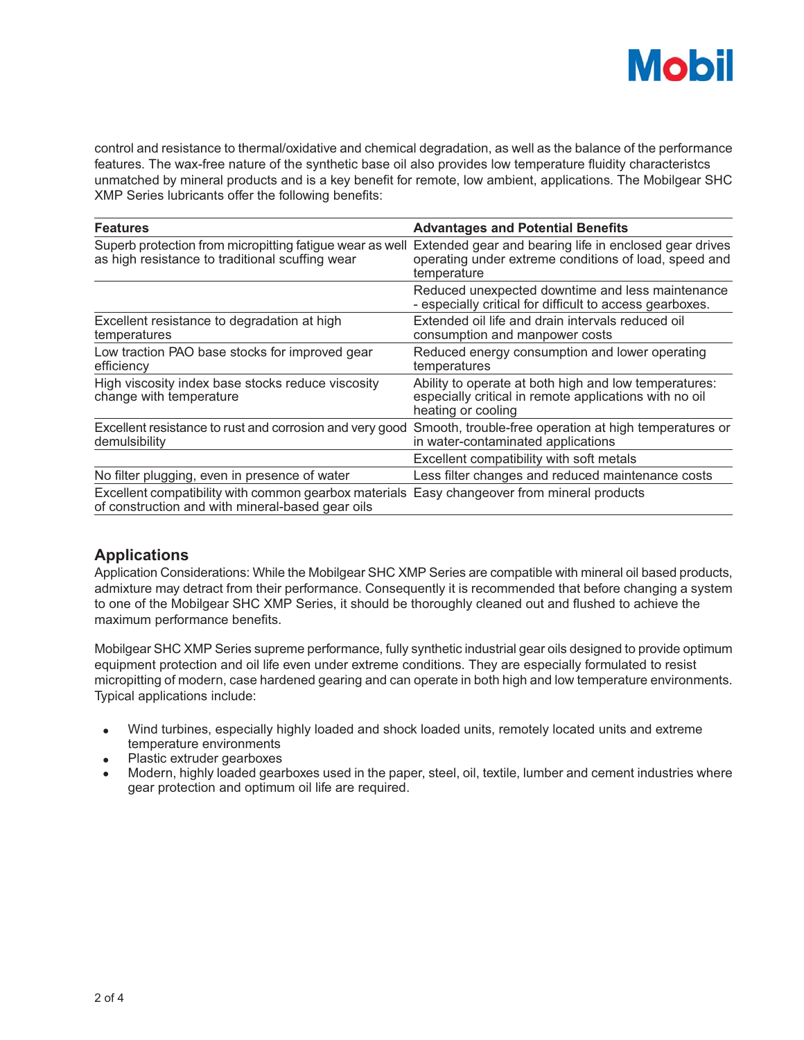

control and resistance to thermal/oxidative and chemical degradation, as well as the balance of the performance features. The wax-free nature of the synthetic base oil also provides low temperature fluidity characteristcs unmatched by mineral products and is a key benefit for remote, low ambient, applications. The Mobilgear SHC XMP Series lubricants offer the following benefits:

| <b>Features</b>                                                                                                                                 | <b>Advantages and Potential Benefits</b>                                                                                              |  |  |
|-------------------------------------------------------------------------------------------------------------------------------------------------|---------------------------------------------------------------------------------------------------------------------------------------|--|--|
| Superb protection from micropitting fatigue wear as well<br>as high resistance to traditional scuffing wear                                     | Extended gear and bearing life in enclosed gear drives<br>operating under extreme conditions of load, speed and<br>temperature        |  |  |
|                                                                                                                                                 | Reduced unexpected downtime and less maintenance<br>- especially critical for difficult to access gearboxes.                          |  |  |
| Excellent resistance to degradation at high<br>temperatures                                                                                     | Extended oil life and drain intervals reduced oil<br>consumption and manpower costs                                                   |  |  |
| Low traction PAO base stocks for improved gear<br>efficiency                                                                                    | Reduced energy consumption and lower operating<br>temperatures                                                                        |  |  |
| High viscosity index base stocks reduce viscosity<br>change with temperature                                                                    | Ability to operate at both high and low temperatures:<br>especially critical in remote applications with no oil<br>heating or cooling |  |  |
| Excellent resistance to rust and corrosion and very good<br>demulsibility                                                                       | Smooth, trouble-free operation at high temperatures or<br>in water-contaminated applications                                          |  |  |
|                                                                                                                                                 | Excellent compatibility with soft metals                                                                                              |  |  |
| No filter plugging, even in presence of water                                                                                                   | Less filter changes and reduced maintenance costs                                                                                     |  |  |
| Excellent compatibility with common gearbox materials Easy changeover from mineral products<br>of construction and with mineral-based gear oils |                                                                                                                                       |  |  |

#### **Applications**

Application Considerations: While the Mobilgear SHC XMP Series are compatible with mineral oil based products, admixture may detract from their performance. Consequently it is recommended that before changing a system to one of the Mobilgear SHC XMP Series, it should be thoroughly cleaned out and flushed to achieve the maximum performance benefits.

Mobilgear SHC XMP Series supreme performance, fully synthetic industrial gear oils designed to provide optimum equipment protection and oil life even under extreme conditions. They are especially formulated to resist micropitting of modern, case hardened gearing and can operate in both high and low temperature environments. Typical applications include:

- Wind turbines, especially highly loaded and shock loaded units, remotely located units and extreme temperature environments
- Plastic extruder gearboxes
- Modern, highly loaded gearboxes used in the paper, steel, oil, textile, lumber and cement industries where gear protection and optimum oil life are required.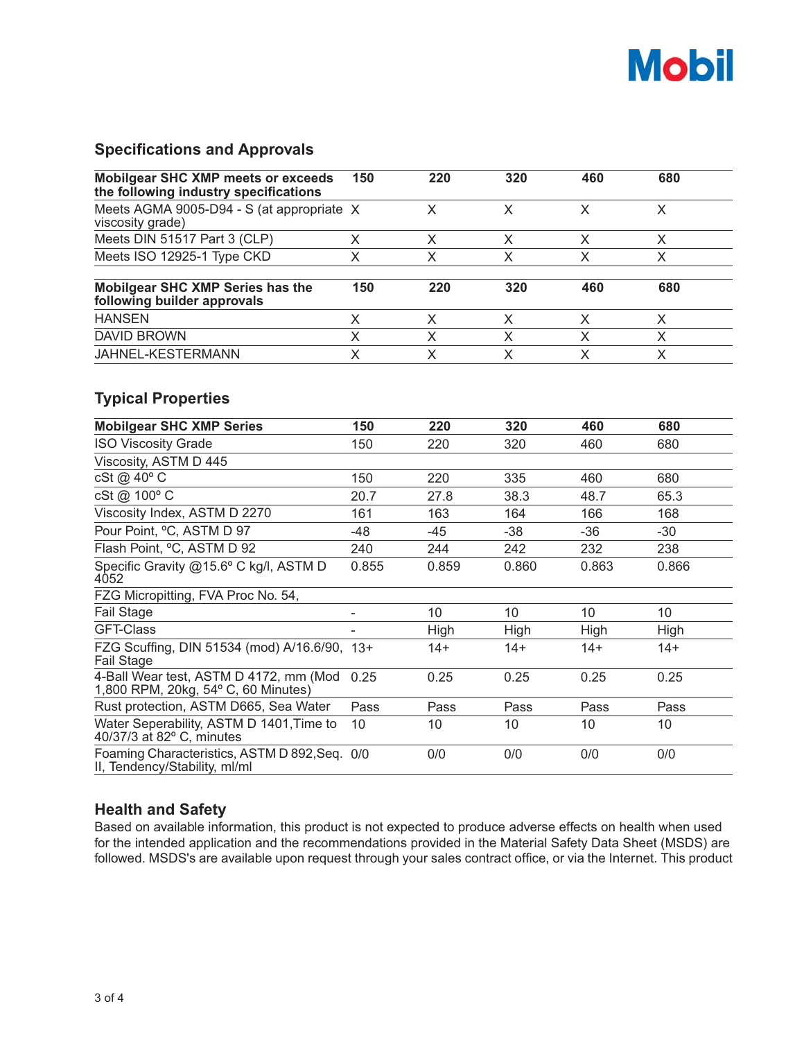

### **Specifications and Approvals**

| Mobilgear SHC XMP meets or exceeds<br>the following industry specifications    | 150                      | 220                     | 320   | 460            | 680            |
|--------------------------------------------------------------------------------|--------------------------|-------------------------|-------|----------------|----------------|
| Meets AGMA 9005-D94 - S (at appropriate X<br>viscosity grade)                  |                          | X                       | X     | X              | $\sf X$        |
| Meets DIN 51517 Part 3 (CLP)                                                   | X                        | X                       | X     | X              | X              |
| Meets ISO 12925-1 Type CKD                                                     | X                        | $\overline{\mathsf{X}}$ | X     | $\overline{X}$ | $\overline{X}$ |
| Mobilgear SHC XMP Series has the<br>following builder approvals                | 150                      | 220                     | 320   | 460            | 680            |
| <b>HANSEN</b>                                                                  | X                        | X                       | X     | X              | X              |
| <b>DAVID BROWN</b>                                                             | X                        | X                       | X     | X              | $\mathsf{X}$   |
| JAHNEL-KESTERMANN                                                              | X                        | $\mathsf{X}$            | X     | $\overline{X}$ | $\times$       |
| <b>Typical Properties</b>                                                      |                          |                         |       |                |                |
| <b>Mobilgear SHC XMP Series</b>                                                | 150                      | 220                     | 320   | 460            | 680            |
| <b>ISO Viscosity Grade</b>                                                     | 150                      | 220                     | 320   | 460            | 680            |
| Viscosity, ASTM D 445                                                          |                          |                         |       |                |                |
| cSt @ 40° C                                                                    | 150                      | 220                     | 335   | 460            | 680            |
| cSt @ 100° C                                                                   | 20.7                     | 27.8                    | 38.3  | 48.7           | 65.3           |
| Viscosity Index, ASTM D 2270                                                   | 161                      | 163                     | 164   | 166            | 168            |
| Pour Point, °C, ASTM D 97                                                      | $-48$                    | $-45$                   | $-38$ | $-36$          | $-30$          |
| Flash Point, °C, ASTM D 92                                                     | 240                      | 244                     | 242   | 232            | 238            |
| Specific Gravity @15.6° C kg/l, ASTM D<br>4052                                 | 0.855                    | 0.859                   | 0.860 | 0.863          | 0.866          |
| FZG Micropitting, FVA Proc No. 54,                                             |                          |                         |       |                |                |
| Fail Stage                                                                     | $\overline{\phantom{0}}$ | 10                      | 10    | 10             | 10             |
| <b>GFT-Class</b>                                                               |                          | High                    | High  | High           | High           |
| FZG Scuffing, DIN 51534 (mod) A/16.6/90, 13+<br>Fail Stage                     |                          | $14+$                   | $14+$ | $14+$          | $14+$          |
| 4-Ball Wear test, ASTM D 4172, mm (Mod<br>1,800 RPM, 20kg, 54° C, 60 Minutes)  | 0.25                     | 0.25                    | 0.25  | 0.25           | 0.25           |
| Rust protection, ASTM D665, Sea Water                                          | Pass                     | Pass                    | Pass  | Pass           | Pass           |
| Water Seperability, ASTM D 1401, Time to<br>40/37/3 at 82° C, minutes          | 10                       | 10                      | 10    | 10             | 10             |
| Foaming Characteristics, ASTM D 892, Seq. 0/0<br>II, Tendency/Stability, ml/ml |                          | 0/0                     | 0/0   | 0/0            | 0/0            |

#### **Health and Safety**

Based on available information, this product is not expected to produce adverse effects on health when used for the intended application and the recommendations provided in the Material Safety Data Sheet (MSDS) are followed. MSDS's are available upon request through your sales contract office, or via the Internet. This product